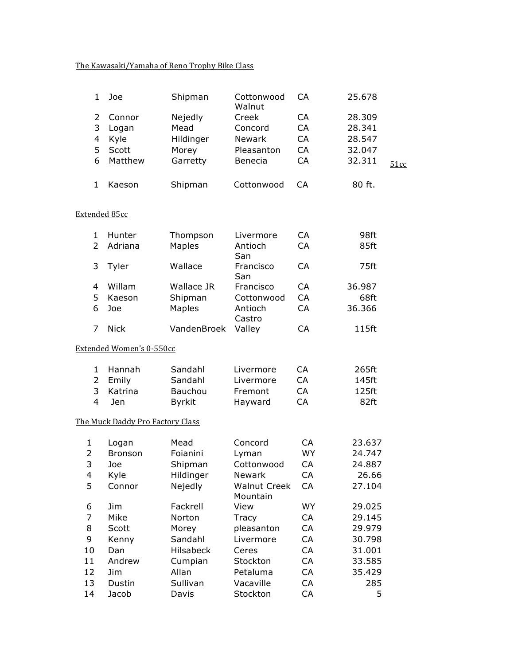## The Kawasaki/Yamaha of Reno Trophy Bike Class

|    | Joe     | Shipman   | Cottonwood<br>Walnut | СA | 25.678 |      |
|----|---------|-----------|----------------------|----|--------|------|
|    | Connor  | Nejedly   | Creek                | СA | 28,309 |      |
| 3  | Logan   | Mead      | Concord              | CA | 28.341 |      |
| 4  | Kyle    | Hildinger | <b>Newark</b>        | CA | 28.547 |      |
| 5. | Scott   | Morey     | Pleasanton           | СA | 32.047 |      |
| 6  | Matthew | Garretty  | <b>Benecia</b>       | CA | 32.311 | 51cc |
|    | Kaeson  | Shipman   | Cottonwood           | CА | 80 ft. |      |

### Extended 85cc

|               | Hunter      | Thompson    | Livermore         | СA | 98ft   |
|---------------|-------------|-------------|-------------------|----|--------|
| $\mathcal{P}$ | Adriana     | Maples      | Antioch<br>San    | CA | 85ft   |
|               | Tyler       | Wallace     | Francisco<br>San  | CA | 75ft   |
| 4             | Willam      | Wallace JR  | Francisco         | СA | 36.987 |
| 5             | Kaeson      | Shipman     | Cottonwood        | СA | 68ft   |
| 6             | Joe         | Maples      | Antioch<br>Castro | СA | 36.366 |
|               | <b>Nick</b> | VandenBroek | Valley            | СA | 115ft  |

#### Extended Women's 0-550cc

|    | 1 Hannah  | Sandahl | Livermore | CA. | 265ft |
|----|-----------|---------|-----------|-----|-------|
|    | 2 Emily   | Sandahl | Livermore | CA. | 145ft |
|    | 3 Katrina | Bauchou | Fremont   | CA. | 125ft |
| -4 | -len      | Bvrkit  | Hayward   | CA  | 82ft  |

# The Muck Daddy Pro Factory Class

| 1  | Logan          | Mead             | Concord             | CA        | 23.637 |
|----|----------------|------------------|---------------------|-----------|--------|
| 2  | <b>Bronson</b> | Foianini         | Lyman               | WY        | 24.747 |
| 3  | Joe            | Shipman          | Cottonwood          | CA        | 24.887 |
| 4  | Kyle           | Hildinger        | <b>Newark</b>       | CA        | 26.66  |
| 5  | Connor         | Nejedly          | <b>Walnut Creek</b> | <b>CA</b> | 27.104 |
|    |                |                  | Mountain            |           |        |
| 6  | Jim.           | Fackrell         | View                | WY        | 29.025 |
| 7  | Mike           | Norton           | <b>Tracy</b>        | CA        | 29.145 |
| 8  | Scott          | Morey            | pleasanton          | CA        | 29.979 |
| 9  | Kenny          | Sandahl          | Livermore           | <b>CA</b> | 30.798 |
| 10 | Dan            | <b>Hilsabeck</b> | Ceres               | CA        | 31.001 |
| 11 | Andrew         | Cumpian          | Stockton            | <b>CA</b> | 33.585 |
| 12 | Jim.           | Allan            | Petaluma            | CA        | 35.429 |
| 13 | Dustin         | Sullivan         | Vacaville           | CA        | 285    |
| 14 | Jacob          | Davis            | Stockton            | CA        | 5      |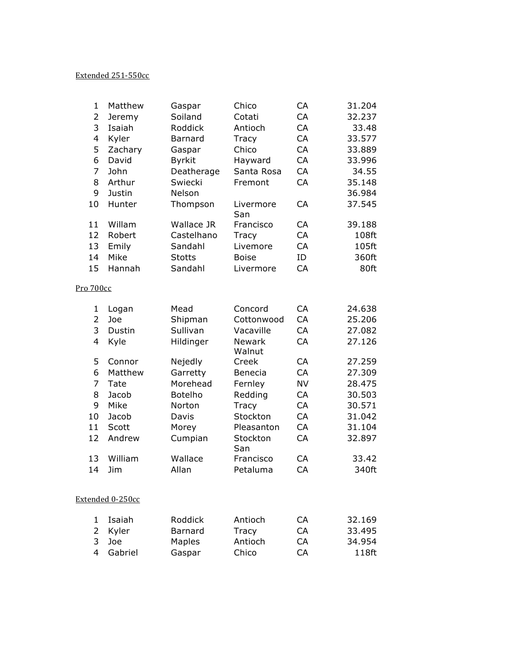## Extended 251-550cc

| $\mathbf{1}$            | Matthew | Gaspar        | Chico                   | CA        | 31.204 |
|-------------------------|---------|---------------|-------------------------|-----------|--------|
| $\overline{2}$          | Jeremy  | Soiland       | Cotati                  | CA        | 32.237 |
| 3                       | Isaiah  | Roddick       | Antioch                 | CA        | 33.48  |
| $\overline{\mathbf{4}}$ | Kyler   | Barnard       | Tracy                   | CA        | 33.577 |
| 5                       | Zachary | Gaspar        | Chico                   | CA        | 33.889 |
| 6                       | David   | <b>Byrkit</b> | Hayward                 | CA        | 33.996 |
| $\overline{7}$          | John    | Deatherage    | Santa Rosa              | CA        | 34.55  |
| 8                       | Arthur  | Swiecki       | Fremont                 | CA        | 35.148 |
| 9                       | Justin  | Nelson        |                         |           | 36.984 |
| 10                      | Hunter  | Thompson      | Livermore<br>San        | CA        | 37.545 |
| 11                      | Willam  | Wallace JR    | Francisco               | CA        | 39.188 |
| 12                      | Robert  | Castelhano    | Tracy                   | CA        | 108ft  |
| 13                      | Emily   | Sandahl       | Livemore                | CA        | 105ft  |
| 14                      | Mike    | <b>Stotts</b> | <b>Boise</b>            | ID        | 360ft  |
| 15                      | Hannah  | Sandahl       | Livermore               | CA        | 80ft   |
| Pro 700cc               |         |               |                         |           |        |
|                         |         |               |                         |           |        |
| $\mathbf 1$             | Logan   | Mead          | Concord                 | CA        | 24.638 |
| $\overline{2}$          | Joe     | Shipman       | Cottonwood              | CA        | 25.206 |
| 3                       | Dustin  | Sullivan      | Vacaville               | CA        | 27.082 |
| 4                       | Kyle    | Hildinger     | <b>Newark</b><br>Walnut | CA        | 27.126 |
| 5                       | Connor  | Nejedly       | Creek                   | CA        | 27.259 |
| 6                       | Matthew | Garretty      | Benecia                 | CA        | 27.309 |
| 7                       | Tate    | Morehead      | Fernley                 | <b>NV</b> | 28.475 |
| 8                       | Jacob   | Botelho       | Redding                 | CA        | 30.503 |
| 9                       | Mike    | Norton        | Tracy                   | CA        | 30.571 |
| 10                      | Jacob   | Davis         | Stockton                | CA        | 31.042 |
| 11                      | Scott   | Morey         | Pleasanton              | CA        | 31.104 |
| 12                      | Andrew  | Cumpian       | Stockton<br>San         | CA        | 32.897 |
| 13                      | William | Wallace       | Francisco               | CA        | 33.42  |
| 14                      | Jim     | Allan         | Petaluma                | CA        | 340ft  |

# Extended 0-250cc

| 1 Isaiah  | Roddick        | Antioch | <b>CA</b> | 32.169 |
|-----------|----------------|---------|-----------|--------|
| 2 Kyler   | <b>Barnard</b> | Tracy   | CA        | 33.495 |
| 3 Joe     | Maples         | Antioch | CA        | 34.954 |
| 4 Gabriel | Gaspar         | Chico   | <b>CA</b> | 118ft  |